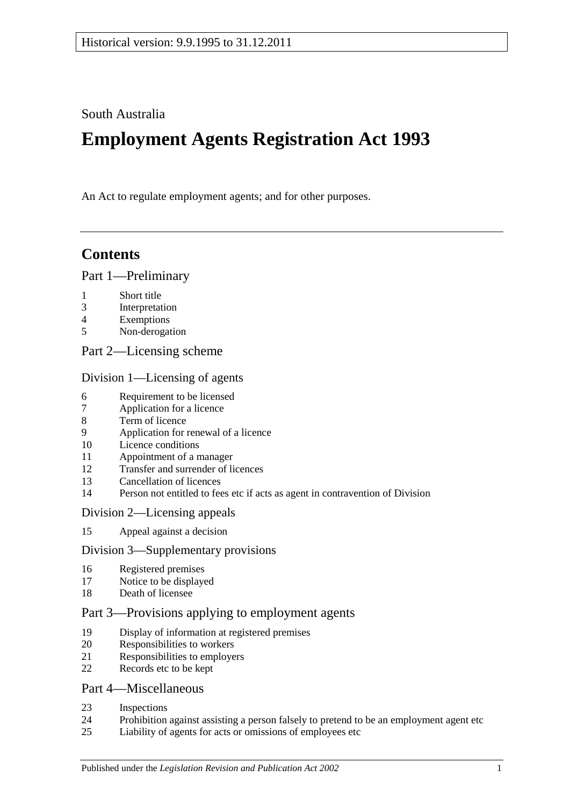South Australia

# **Employment Agents Registration Act 1993**

An Act to regulate employment agents; and for other purposes.

## **Contents**

### [Part 1—Preliminary](#page-1-0)

- 1 [Short title](#page-1-1)
- 3 [Interpretation](#page-1-2)<br>4 Exemptions
- 4 [Exemptions](#page-2-0)<br>5 Non-derogal
- [Non-derogation](#page-2-1)
- [Part 2—Licensing scheme](#page-3-0)

#### [Division 1—Licensing of agents](#page-3-1)

- 6 [Requirement to be licensed](#page-3-2)
- 7 [Application for a licence](#page-3-3)<br>8 Term of licence
- [Term of licence](#page-5-0)
- 9 [Application for renewal of a licence](#page-5-1)
- 10 [Licence conditions](#page-5-2)
- 11 [Appointment of a manager](#page-6-0)<br>12 Transfer and surrender of li
- [Transfer and surrender of licences](#page-6-1)
- 13 [Cancellation of licences](#page-6-2)
- 14 [Person not entitled to fees etc if acts as agent in contravention of Division](#page-7-0)

#### [Division 2—Licensing appeals](#page-7-1)

15 [Appeal against a decision](#page-7-2)

#### [Division 3—Supplementary provisions](#page-8-0)

- 16 [Registered premises](#page-8-1)
- 17 [Notice to be displayed](#page-8-2)
- 18 [Death of licensee](#page-8-3)

### [Part 3—Provisions applying to employment agents](#page-9-0)

- 19 [Display of information at registered premises](#page-9-1)
- 20 [Responsibilities to workers](#page-9-2)
- 21 [Responsibilities to employers](#page-10-0)
- 22 [Records etc to be kept](#page-11-0)

### [Part 4—Miscellaneous](#page-11-1)

- 23 [Inspections](#page-11-2)
- 24 [Prohibition against assisting a person falsely to pretend to be an employment agent etc](#page-12-0)
- 25 [Liability of agents for acts or omissions of employees etc](#page-12-1)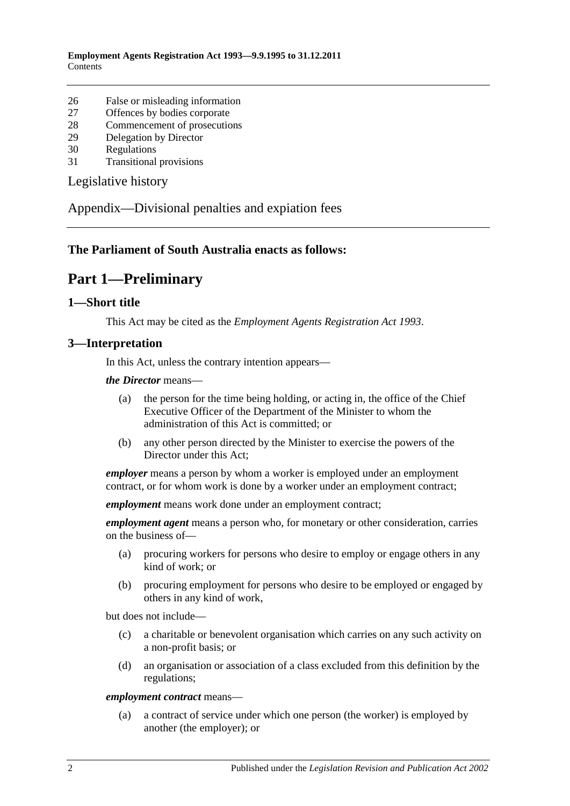- 26 [False or misleading information](#page-13-0)<br>27 Offences by bodies corporate
- 27 [Offences by bodies corporate](#page-13-1)<br>28 Commencement of prosecution
- [Commencement of prosecutions](#page-13-2)
- 29 [Delegation by Director](#page-13-3)
- 30 [Regulations](#page-13-4)
- 31 [Transitional provisions](#page-14-0)

[Legislative history](#page-15-0)

[Appendix—Divisional penalties and expiation fees](#page-15-1)

#### <span id="page-1-0"></span>**The Parliament of South Australia enacts as follows:**

## **Part 1—Preliminary**

#### <span id="page-1-1"></span>**1—Short title**

This Act may be cited as the *Employment Agents Registration Act 1993*.

#### <span id="page-1-2"></span>**3—Interpretation**

In this Act, unless the contrary intention appears—

#### *the Director* means—

- (a) the person for the time being holding, or acting in, the office of the Chief Executive Officer of the Department of the Minister to whom the administration of this Act is committed; or
- (b) any other person directed by the Minister to exercise the powers of the Director under this Act;

*employer* means a person by whom a worker is employed under an employment contract, or for whom work is done by a worker under an employment contract;

*employment* means work done under an employment contract;

*employment agent* means a person who, for monetary or other consideration, carries on the business of—

- (a) procuring workers for persons who desire to employ or engage others in any kind of work; or
- (b) procuring employment for persons who desire to be employed or engaged by others in any kind of work,

but does not include—

- (c) a charitable or benevolent organisation which carries on any such activity on a non-profit basis; or
- (d) an organisation or association of a class excluded from this definition by the regulations;

*employment contract* means—

(a) a contract of service under which one person (the worker) is employed by another (the employer); or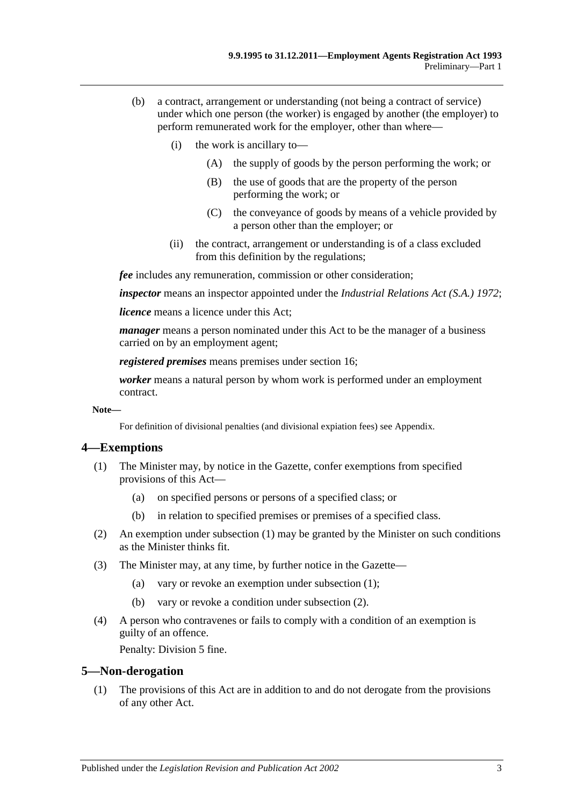- (b) a contract, arrangement or understanding (not being a contract of service) under which one person (the worker) is engaged by another (the employer) to perform remunerated work for the employer, other than where—
	- (i) the work is ancillary to—
		- (A) the supply of goods by the person performing the work; or
		- (B) the use of goods that are the property of the person performing the work; or
		- (C) the conveyance of goods by means of a vehicle provided by a person other than the employer; or
	- (ii) the contract, arrangement or understanding is of a class excluded from this definition by the regulations;

*fee* includes any remuneration, commission or other consideration;

*inspector* means an inspector appointed under the *[Industrial Relations Act \(S.A.\)](http://www.legislation.sa.gov.au/index.aspx?action=legref&type=act&legtitle=Industrial%20Relations%20Act%20(S.A.)%201972) 1972*;

*licence* means a licence under this Act;

*manager* means a person nominated under this Act to be the manager of a business carried on by an employment agent;

*registered premises* means premises under [section](#page-8-1) 16;

*worker* means a natural person by whom work is performed under an employment contract.

#### **Note—**

For definition of divisional penalties (and divisional expiation fees) see Appendix.

#### <span id="page-2-2"></span><span id="page-2-0"></span>**4—Exemptions**

- (1) The Minister may, by notice in the Gazette, confer exemptions from specified provisions of this Act—
	- (a) on specified persons or persons of a specified class; or
	- (b) in relation to specified premises or premises of a specified class.
- <span id="page-2-3"></span>(2) An exemption under [subsection](#page-2-2) (1) may be granted by the Minister on such conditions as the Minister thinks fit.
- (3) The Minister may, at any time, by further notice in the Gazette—
	- (a) vary or revoke an exemption under [subsection](#page-2-2) (1);
	- (b) vary or revoke a condition under [subsection](#page-2-3) (2).
- (4) A person who contravenes or fails to comply with a condition of an exemption is guilty of an offence. Penalty: Division 5 fine.

#### <span id="page-2-1"></span>**5—Non-derogation**

(1) The provisions of this Act are in addition to and do not derogate from the provisions of any other Act.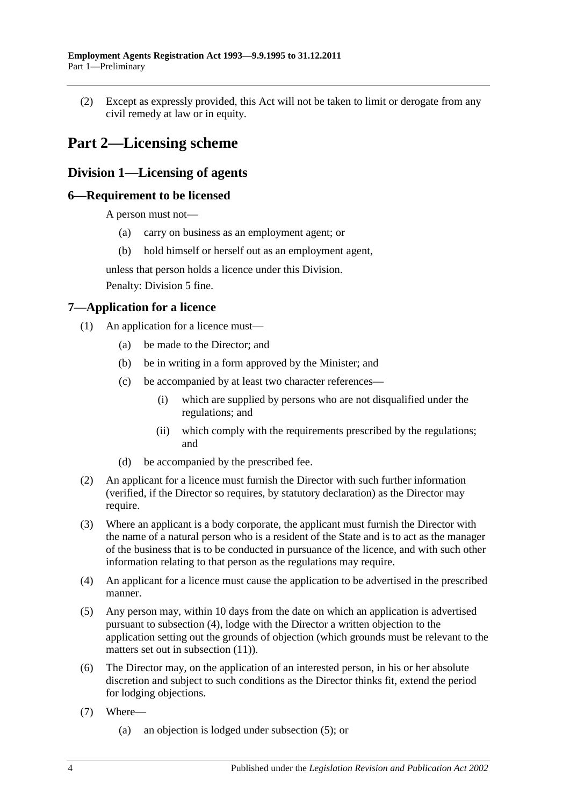(2) Except as expressly provided, this Act will not be taken to limit or derogate from any civil remedy at law or in equity.

## <span id="page-3-0"></span>**Part 2—Licensing scheme**

## <span id="page-3-1"></span>**Division 1—Licensing of agents**

### <span id="page-3-2"></span>**6—Requirement to be licensed**

A person must not—

- (a) carry on business as an employment agent; or
- (b) hold himself or herself out as an employment agent,

unless that person holds a licence under this Division.

Penalty: Division 5 fine.

## <span id="page-3-3"></span>**7—Application for a licence**

- (1) An application for a licence must—
	- (a) be made to the Director; and
	- (b) be in writing in a form approved by the Minister; and
	- (c) be accompanied by at least two character references—
		- (i) which are supplied by persons who are not disqualified under the regulations; and
		- (ii) which comply with the requirements prescribed by the regulations; and
	- (d) be accompanied by the prescribed fee.
- <span id="page-3-6"></span>(2) An applicant for a licence must furnish the Director with such further information (verified, if the Director so requires, by statutory declaration) as the Director may require.
- (3) Where an applicant is a body corporate, the applicant must furnish the Director with the name of a natural person who is a resident of the State and is to act as the manager of the business that is to be conducted in pursuance of the licence, and with such other information relating to that person as the regulations may require.
- <span id="page-3-4"></span>(4) An applicant for a licence must cause the application to be advertised in the prescribed manner.
- <span id="page-3-5"></span>(5) Any person may, within 10 days from the date on which an application is advertised pursuant to [subsection](#page-3-4) (4), lodge with the Director a written objection to the application setting out the grounds of objection (which grounds must be relevant to the matters set out in [subsection](#page-4-0) (11)).
- <span id="page-3-7"></span>(6) The Director may, on the application of an interested person, in his or her absolute discretion and subject to such conditions as the Director thinks fit, extend the period for lodging objections.
- (7) Where—
	- (a) an objection is lodged under [subsection](#page-3-5) (5); or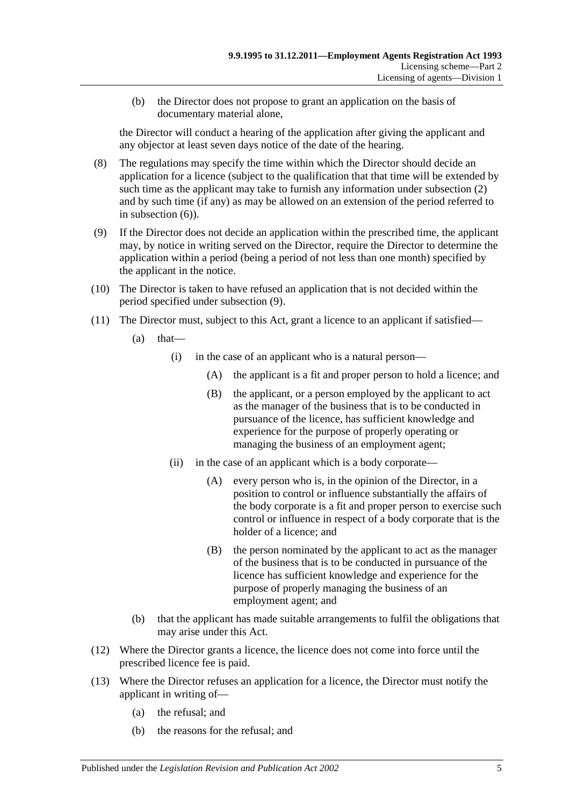(b) the Director does not propose to grant an application on the basis of documentary material alone,

the Director will conduct a hearing of the application after giving the applicant and any objector at least seven days notice of the date of the hearing.

- (8) The regulations may specify the time within which the Director should decide an application for a licence (subject to the qualification that that time will be extended by such time as the applicant may take to furnish any information under [subsection](#page-3-6) (2) and by such time (if any) as may be allowed on an extension of the period referred to in [subsection](#page-3-7) (6)).
- <span id="page-4-1"></span>(9) If the Director does not decide an application within the prescribed time, the applicant may, by notice in writing served on the Director, require the Director to determine the application within a period (being a period of not less than one month) specified by the applicant in the notice.
- (10) The Director is taken to have refused an application that is not decided within the period specified under [subsection](#page-4-1) (9).
- <span id="page-4-0"></span>(11) The Director must, subject to this Act, grant a licence to an applicant if satisfied—
	- $(a)$  that—
		- (i) in the case of an applicant who is a natural person—
			- (A) the applicant is a fit and proper person to hold a licence; and
			- (B) the applicant, or a person employed by the applicant to act as the manager of the business that is to be conducted in pursuance of the licence, has sufficient knowledge and experience for the purpose of properly operating or managing the business of an employment agent;
		- (ii) in the case of an applicant which is a body corporate—
			- (A) every person who is, in the opinion of the Director, in a position to control or influence substantially the affairs of the body corporate is a fit and proper person to exercise such control or influence in respect of a body corporate that is the holder of a licence; and
			- (B) the person nominated by the applicant to act as the manager of the business that is to be conducted in pursuance of the licence has sufficient knowledge and experience for the purpose of properly managing the business of an employment agent; and
	- (b) that the applicant has made suitable arrangements to fulfil the obligations that may arise under this Act.
- (12) Where the Director grants a licence, the licence does not come into force until the prescribed licence fee is paid.
- (13) Where the Director refuses an application for a licence, the Director must notify the applicant in writing of—
	- (a) the refusal; and
	- (b) the reasons for the refusal; and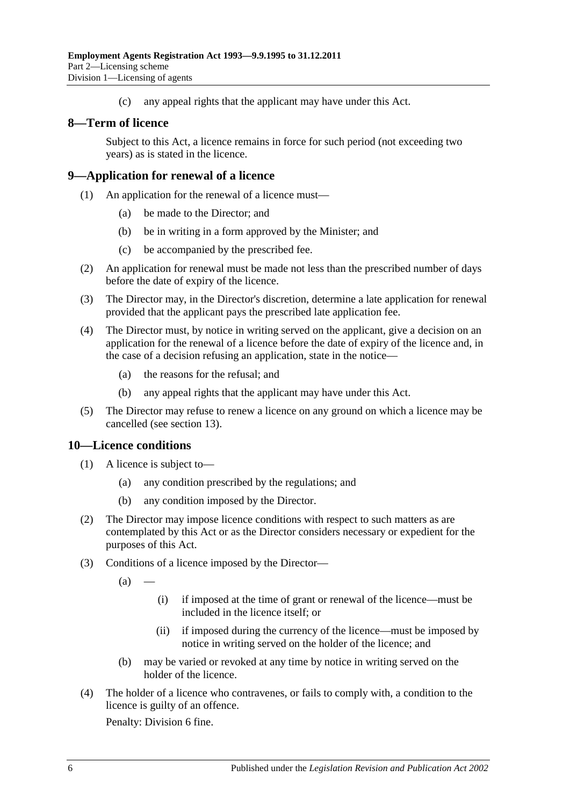(c) any appeal rights that the applicant may have under this Act.

## <span id="page-5-0"></span>**8—Term of licence**

Subject to this Act, a licence remains in force for such period (not exceeding two years) as is stated in the licence.

## <span id="page-5-1"></span>**9—Application for renewal of a licence**

- (1) An application for the renewal of a licence must—
	- (a) be made to the Director; and
	- (b) be in writing in a form approved by the Minister; and
	- (c) be accompanied by the prescribed fee.
- (2) An application for renewal must be made not less than the prescribed number of days before the date of expiry of the licence.
- (3) The Director may, in the Director's discretion, determine a late application for renewal provided that the applicant pays the prescribed late application fee.
- (4) The Director must, by notice in writing served on the applicant, give a decision on an application for the renewal of a licence before the date of expiry of the licence and, in the case of a decision refusing an application, state in the notice—
	- (a) the reasons for the refusal; and
	- (b) any appeal rights that the applicant may have under this Act.
- (5) The Director may refuse to renew a licence on any ground on which a licence may be cancelled (see [section](#page-6-2) 13).

### <span id="page-5-2"></span>**10—Licence conditions**

- (1) A licence is subject to—
	- (a) any condition prescribed by the regulations; and
	- (b) any condition imposed by the Director.
- (2) The Director may impose licence conditions with respect to such matters as are contemplated by this Act or as the Director considers necessary or expedient for the purposes of this Act.
- (3) Conditions of a licence imposed by the Director—
	- $(a)$
- (i) if imposed at the time of grant or renewal of the licence—must be included in the licence itself; or
- (ii) if imposed during the currency of the licence—must be imposed by notice in writing served on the holder of the licence; and
- (b) may be varied or revoked at any time by notice in writing served on the holder of the licence.
- (4) The holder of a licence who contravenes, or fails to comply with, a condition to the licence is guilty of an offence.

Penalty: Division 6 fine.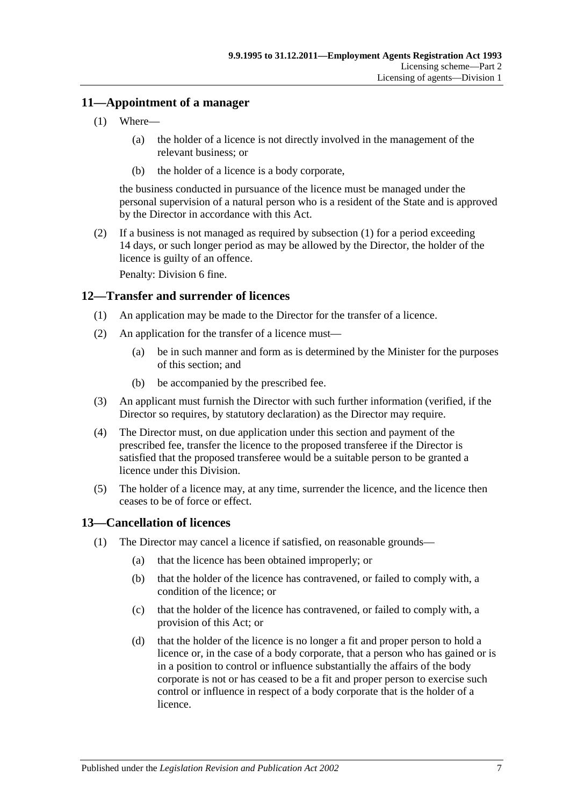## <span id="page-6-3"></span><span id="page-6-0"></span>**11—Appointment of a manager**

- (1) Where—
	- (a) the holder of a licence is not directly involved in the management of the relevant business; or
	- (b) the holder of a licence is a body corporate,

the business conducted in pursuance of the licence must be managed under the personal supervision of a natural person who is a resident of the State and is approved by the Director in accordance with this Act.

(2) If a business is not managed as required by [subsection](#page-6-3) (1) for a period exceeding 14 days, or such longer period as may be allowed by the Director, the holder of the licence is guilty of an offence.

Penalty: Division 6 fine.

## <span id="page-6-1"></span>**12—Transfer and surrender of licences**

- (1) An application may be made to the Director for the transfer of a licence.
- (2) An application for the transfer of a licence must—
	- (a) be in such manner and form as is determined by the Minister for the purposes of this section; and
	- (b) be accompanied by the prescribed fee.
- (3) An applicant must furnish the Director with such further information (verified, if the Director so requires, by statutory declaration) as the Director may require.
- (4) The Director must, on due application under this section and payment of the prescribed fee, transfer the licence to the proposed transferee if the Director is satisfied that the proposed transferee would be a suitable person to be granted a licence under this Division.
- (5) The holder of a licence may, at any time, surrender the licence, and the licence then ceases to be of force or effect.

### <span id="page-6-2"></span>**13—Cancellation of licences**

- (1) The Director may cancel a licence if satisfied, on reasonable grounds—
	- (a) that the licence has been obtained improperly; or
	- (b) that the holder of the licence has contravened, or failed to comply with, a condition of the licence; or
	- (c) that the holder of the licence has contravened, or failed to comply with, a provision of this Act; or
	- (d) that the holder of the licence is no longer a fit and proper person to hold a licence or, in the case of a body corporate, that a person who has gained or is in a position to control or influence substantially the affairs of the body corporate is not or has ceased to be a fit and proper person to exercise such control or influence in respect of a body corporate that is the holder of a licence.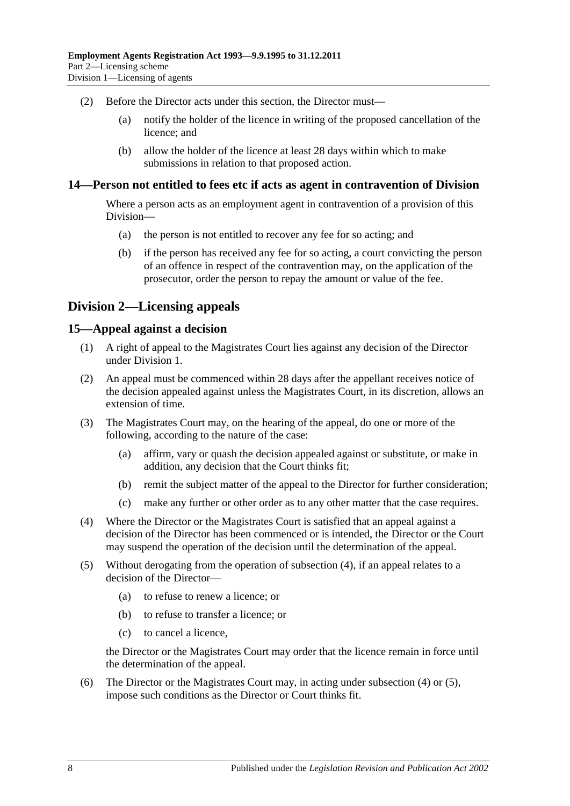- (2) Before the Director acts under this section, the Director must—
	- (a) notify the holder of the licence in writing of the proposed cancellation of the licence; and
	- (b) allow the holder of the licence at least 28 days within which to make submissions in relation to that proposed action.

#### <span id="page-7-0"></span>**14—Person not entitled to fees etc if acts as agent in contravention of Division**

Where a person acts as an employment agent in contravention of a provision of this Division—

- (a) the person is not entitled to recover any fee for so acting; and
- (b) if the person has received any fee for so acting, a court convicting the person of an offence in respect of the contravention may, on the application of the prosecutor, order the person to repay the amount or value of the fee.

## <span id="page-7-1"></span>**Division 2—Licensing appeals**

#### <span id="page-7-2"></span>**15—Appeal against a decision**

- (1) A right of appeal to the Magistrates Court lies against any decision of the Director under [Division 1.](#page-3-1)
- (2) An appeal must be commenced within 28 days after the appellant receives notice of the decision appealed against unless the Magistrates Court, in its discretion, allows an extension of time.
- (3) The Magistrates Court may, on the hearing of the appeal, do one or more of the following, according to the nature of the case:
	- (a) affirm, vary or quash the decision appealed against or substitute, or make in addition, any decision that the Court thinks fit;
	- (b) remit the subject matter of the appeal to the Director for further consideration;
	- (c) make any further or other order as to any other matter that the case requires.
- <span id="page-7-3"></span>(4) Where the Director or the Magistrates Court is satisfied that an appeal against a decision of the Director has been commenced or is intended, the Director or the Court may suspend the operation of the decision until the determination of the appeal.
- <span id="page-7-4"></span>(5) Without derogating from the operation of [subsection](#page-7-3) (4), if an appeal relates to a decision of the Director—
	- (a) to refuse to renew a licence; or
	- (b) to refuse to transfer a licence; or
	- (c) to cancel a licence,

the Director or the Magistrates Court may order that the licence remain in force until the determination of the appeal.

<span id="page-7-5"></span>(6) The Director or the Magistrates Court may, in acting under [subsection](#page-7-3) (4) or [\(5\),](#page-7-4) impose such conditions as the Director or Court thinks fit.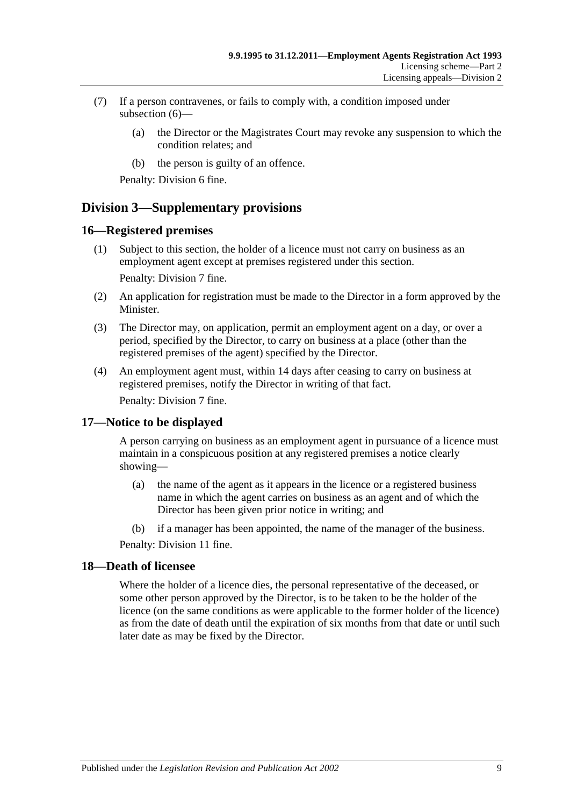- (7) If a person contravenes, or fails to comply with, a condition imposed under [subsection](#page-7-5) (6)—
	- (a) the Director or the Magistrates Court may revoke any suspension to which the condition relates; and
	- (b) the person is guilty of an offence.

Penalty: Division 6 fine.

## <span id="page-8-0"></span>**Division 3—Supplementary provisions**

### <span id="page-8-1"></span>**16—Registered premises**

(1) Subject to this section, the holder of a licence must not carry on business as an employment agent except at premises registered under this section.

Penalty: Division 7 fine.

- (2) An application for registration must be made to the Director in a form approved by the Minister.
- (3) The Director may, on application, permit an employment agent on a day, or over a period, specified by the Director, to carry on business at a place (other than the registered premises of the agent) specified by the Director.
- (4) An employment agent must, within 14 days after ceasing to carry on business at registered premises, notify the Director in writing of that fact.

Penalty: Division 7 fine.

### <span id="page-8-2"></span>**17—Notice to be displayed**

A person carrying on business as an employment agent in pursuance of a licence must maintain in a conspicuous position at any registered premises a notice clearly showing—

- (a) the name of the agent as it appears in the licence or a registered business name in which the agent carries on business as an agent and of which the Director has been given prior notice in writing; and
- (b) if a manager has been appointed, the name of the manager of the business.

Penalty: Division 11 fine.

### <span id="page-8-3"></span>**18—Death of licensee**

Where the holder of a licence dies, the personal representative of the deceased, or some other person approved by the Director, is to be taken to be the holder of the licence (on the same conditions as were applicable to the former holder of the licence) as from the date of death until the expiration of six months from that date or until such later date as may be fixed by the Director.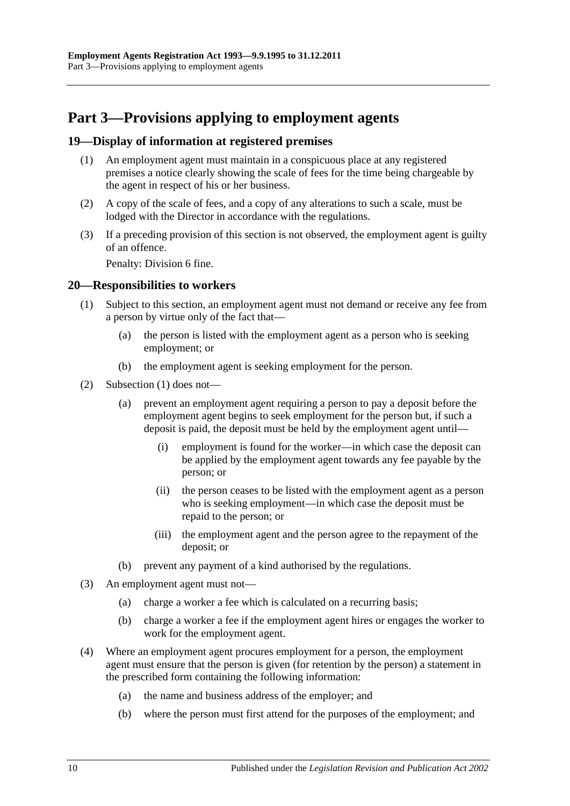## <span id="page-9-0"></span>**Part 3—Provisions applying to employment agents**

### <span id="page-9-1"></span>**19—Display of information at registered premises**

- (1) An employment agent must maintain in a conspicuous place at any registered premises a notice clearly showing the scale of fees for the time being chargeable by the agent in respect of his or her business.
- (2) A copy of the scale of fees, and a copy of any alterations to such a scale, must be lodged with the Director in accordance with the regulations.
- (3) If a preceding provision of this section is not observed, the employment agent is guilty of an offence.

Penalty: Division 6 fine.

#### <span id="page-9-3"></span><span id="page-9-2"></span>**20—Responsibilities to workers**

- (1) Subject to this section, an employment agent must not demand or receive any fee from a person by virtue only of the fact that—
	- (a) the person is listed with the employment agent as a person who is seeking employment; or
	- (b) the employment agent is seeking employment for the person.
- (2) [Subsection](#page-9-3) (1) does not—
	- (a) prevent an employment agent requiring a person to pay a deposit before the employment agent begins to seek employment for the person but, if such a deposit is paid, the deposit must be held by the employment agent until—
		- (i) employment is found for the worker—in which case the deposit can be applied by the employment agent towards any fee payable by the person; or
		- (ii) the person ceases to be listed with the employment agent as a person who is seeking employment—in which case the deposit must be repaid to the person; or
		- (iii) the employment agent and the person agree to the repayment of the deposit; or
	- (b) prevent any payment of a kind authorised by the regulations.
- (3) An employment agent must not—
	- (a) charge a worker a fee which is calculated on a recurring basis;
	- (b) charge a worker a fee if the employment agent hires or engages the worker to work for the employment agent.
- (4) Where an employment agent procures employment for a person, the employment agent must ensure that the person is given (for retention by the person) a statement in the prescribed form containing the following information:
	- (a) the name and business address of the employer; and
	- (b) where the person must first attend for the purposes of the employment; and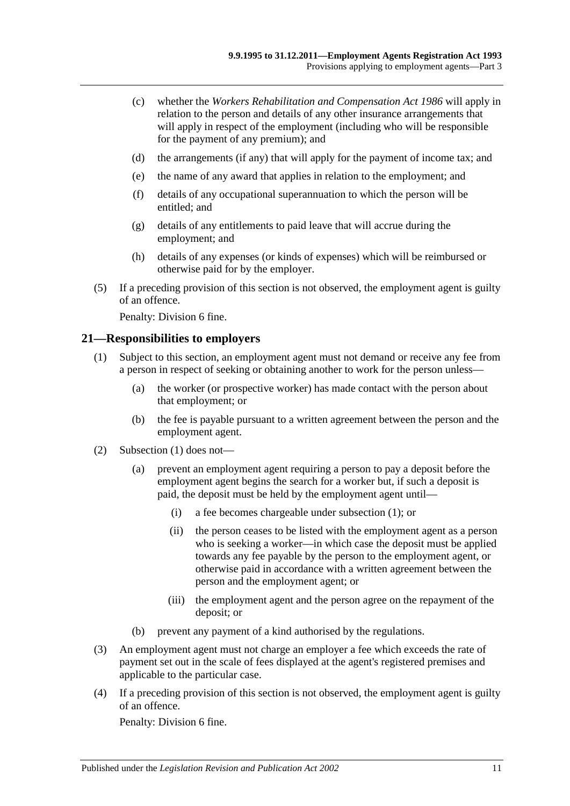- (c) whether the *[Workers Rehabilitation and Compensation Act](http://www.legislation.sa.gov.au/index.aspx?action=legref&type=act&legtitle=Workers%20Rehabilitation%20and%20Compensation%20Act%201986) 1986* will apply in relation to the person and details of any other insurance arrangements that will apply in respect of the employment (including who will be responsible for the payment of any premium); and
- (d) the arrangements (if any) that will apply for the payment of income tax; and
- (e) the name of any award that applies in relation to the employment; and
- (f) details of any occupational superannuation to which the person will be entitled; and
- (g) details of any entitlements to paid leave that will accrue during the employment; and
- (h) details of any expenses (or kinds of expenses) which will be reimbursed or otherwise paid for by the employer.
- (5) If a preceding provision of this section is not observed, the employment agent is guilty of an offence.

Penalty: Division 6 fine.

#### <span id="page-10-1"></span><span id="page-10-0"></span>**21—Responsibilities to employers**

- (1) Subject to this section, an employment agent must not demand or receive any fee from a person in respect of seeking or obtaining another to work for the person unless—
	- (a) the worker (or prospective worker) has made contact with the person about that employment; or
	- (b) the fee is payable pursuant to a written agreement between the person and the employment agent.
- (2) [Subsection](#page-10-1) (1) does not—
	- (a) prevent an employment agent requiring a person to pay a deposit before the employment agent begins the search for a worker but, if such a deposit is paid, the deposit must be held by the employment agent until—
		- (i) a fee becomes chargeable under [subsection](#page-10-1) (1); or
		- (ii) the person ceases to be listed with the employment agent as a person who is seeking a worker—in which case the deposit must be applied towards any fee payable by the person to the employment agent, or otherwise paid in accordance with a written agreement between the person and the employment agent; or
		- (iii) the employment agent and the person agree on the repayment of the deposit; or
	- (b) prevent any payment of a kind authorised by the regulations.
- (3) An employment agent must not charge an employer a fee which exceeds the rate of payment set out in the scale of fees displayed at the agent's registered premises and applicable to the particular case.
- (4) If a preceding provision of this section is not observed, the employment agent is guilty of an offence.

Penalty: Division 6 fine.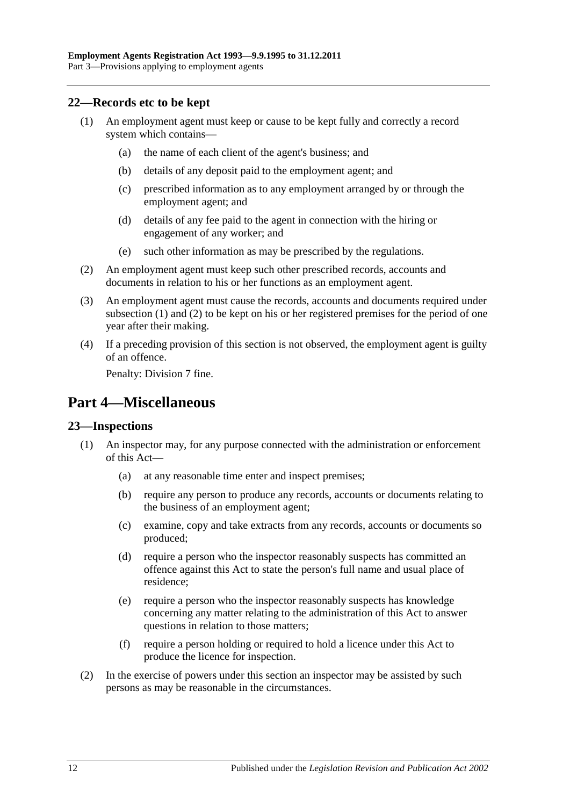## <span id="page-11-3"></span><span id="page-11-0"></span>**22—Records etc to be kept**

- (1) An employment agent must keep or cause to be kept fully and correctly a record system which contains—
	- (a) the name of each client of the agent's business; and
	- (b) details of any deposit paid to the employment agent; and
	- (c) prescribed information as to any employment arranged by or through the employment agent; and
	- (d) details of any fee paid to the agent in connection with the hiring or engagement of any worker; and
	- (e) such other information as may be prescribed by the regulations.
- <span id="page-11-4"></span>(2) An employment agent must keep such other prescribed records, accounts and documents in relation to his or her functions as an employment agent.
- (3) An employment agent must cause the records, accounts and documents required under [subsection](#page-11-3) (1) and [\(2\)](#page-11-4) to be kept on his or her registered premises for the period of one year after their making.
- (4) If a preceding provision of this section is not observed, the employment agent is guilty of an offence.

Penalty: Division 7 fine.

## <span id="page-11-1"></span>**Part 4—Miscellaneous**

#### <span id="page-11-2"></span>**23—Inspections**

- (1) An inspector may, for any purpose connected with the administration or enforcement of this Act—
	- (a) at any reasonable time enter and inspect premises;
	- (b) require any person to produce any records, accounts or documents relating to the business of an employment agent;
	- (c) examine, copy and take extracts from any records, accounts or documents so produced;
	- (d) require a person who the inspector reasonably suspects has committed an offence against this Act to state the person's full name and usual place of residence;
	- (e) require a person who the inspector reasonably suspects has knowledge concerning any matter relating to the administration of this Act to answer questions in relation to those matters;
	- (f) require a person holding or required to hold a licence under this Act to produce the licence for inspection.
- (2) In the exercise of powers under this section an inspector may be assisted by such persons as may be reasonable in the circumstances.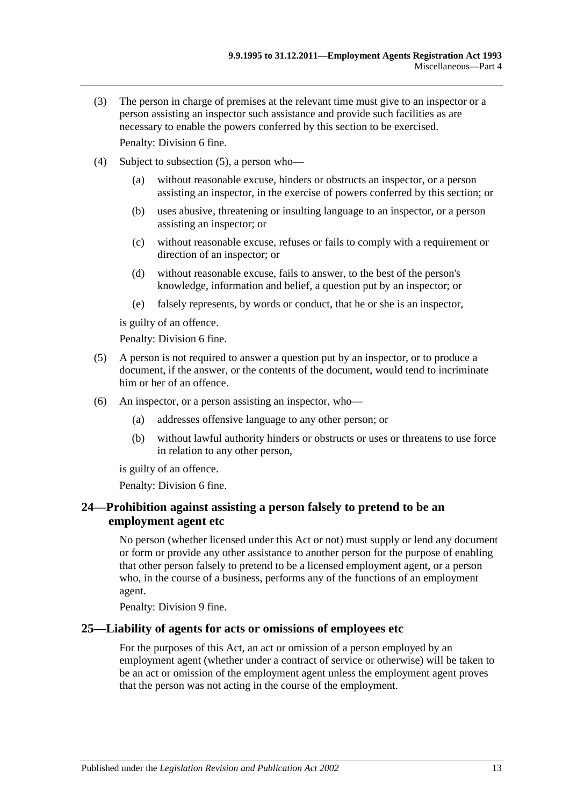- (3) The person in charge of premises at the relevant time must give to an inspector or a person assisting an inspector such assistance and provide such facilities as are necessary to enable the powers conferred by this section to be exercised. Penalty: Division 6 fine.
- (4) Subject to [subsection](#page-12-2) (5), a person who—
	- (a) without reasonable excuse, hinders or obstructs an inspector, or a person assisting an inspector, in the exercise of powers conferred by this section; or
	- (b) uses abusive, threatening or insulting language to an inspector, or a person assisting an inspector; or
	- (c) without reasonable excuse, refuses or fails to comply with a requirement or direction of an inspector; or
	- (d) without reasonable excuse, fails to answer, to the best of the person's knowledge, information and belief, a question put by an inspector; or
	- (e) falsely represents, by words or conduct, that he or she is an inspector,

is guilty of an offence.

Penalty: Division 6 fine.

- <span id="page-12-2"></span>(5) A person is not required to answer a question put by an inspector, or to produce a document, if the answer, or the contents of the document, would tend to incriminate him or her of an offence.
- (6) An inspector, or a person assisting an inspector, who—
	- (a) addresses offensive language to any other person; or
	- (b) without lawful authority hinders or obstructs or uses or threatens to use force in relation to any other person,

is guilty of an offence.

Penalty: Division 6 fine.

## <span id="page-12-0"></span>**24—Prohibition against assisting a person falsely to pretend to be an employment agent etc**

No person (whether licensed under this Act or not) must supply or lend any document or form or provide any other assistance to another person for the purpose of enabling that other person falsely to pretend to be a licensed employment agent, or a person who, in the course of a business, performs any of the functions of an employment agent.

Penalty: Division 9 fine.

#### <span id="page-12-1"></span>**25—Liability of agents for acts or omissions of employees etc**

For the purposes of this Act, an act or omission of a person employed by an employment agent (whether under a contract of service or otherwise) will be taken to be an act or omission of the employment agent unless the employment agent proves that the person was not acting in the course of the employment.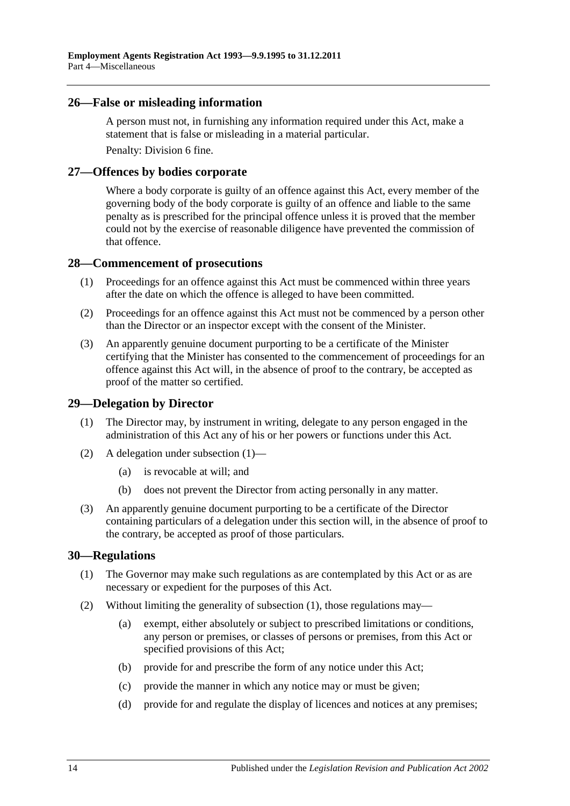#### <span id="page-13-0"></span>**26—False or misleading information**

A person must not, in furnishing any information required under this Act, make a statement that is false or misleading in a material particular.

Penalty: Division 6 fine.

#### <span id="page-13-1"></span>**27—Offences by bodies corporate**

Where a body corporate is guilty of an offence against this Act, every member of the governing body of the body corporate is guilty of an offence and liable to the same penalty as is prescribed for the principal offence unless it is proved that the member could not by the exercise of reasonable diligence have prevented the commission of that offence.

#### <span id="page-13-2"></span>**28—Commencement of prosecutions**

- (1) Proceedings for an offence against this Act must be commenced within three years after the date on which the offence is alleged to have been committed.
- (2) Proceedings for an offence against this Act must not be commenced by a person other than the Director or an inspector except with the consent of the Minister.
- (3) An apparently genuine document purporting to be a certificate of the Minister certifying that the Minister has consented to the commencement of proceedings for an offence against this Act will, in the absence of proof to the contrary, be accepted as proof of the matter so certified.

#### <span id="page-13-5"></span><span id="page-13-3"></span>**29—Delegation by Director**

- (1) The Director may, by instrument in writing, delegate to any person engaged in the administration of this Act any of his or her powers or functions under this Act.
- (2) A delegation under [subsection](#page-13-5) (1)—
	- (a) is revocable at will; and
	- (b) does not prevent the Director from acting personally in any matter.
- (3) An apparently genuine document purporting to be a certificate of the Director containing particulars of a delegation under this section will, in the absence of proof to the contrary, be accepted as proof of those particulars.

#### <span id="page-13-6"></span><span id="page-13-4"></span>**30—Regulations**

- (1) The Governor may make such regulations as are contemplated by this Act or as are necessary or expedient for the purposes of this Act.
- (2) Without limiting the generality of [subsection](#page-13-6) (1), those regulations may—
	- (a) exempt, either absolutely or subject to prescribed limitations or conditions, any person or premises, or classes of persons or premises, from this Act or specified provisions of this Act;
	- (b) provide for and prescribe the form of any notice under this Act;
	- (c) provide the manner in which any notice may or must be given;
	- (d) provide for and regulate the display of licences and notices at any premises;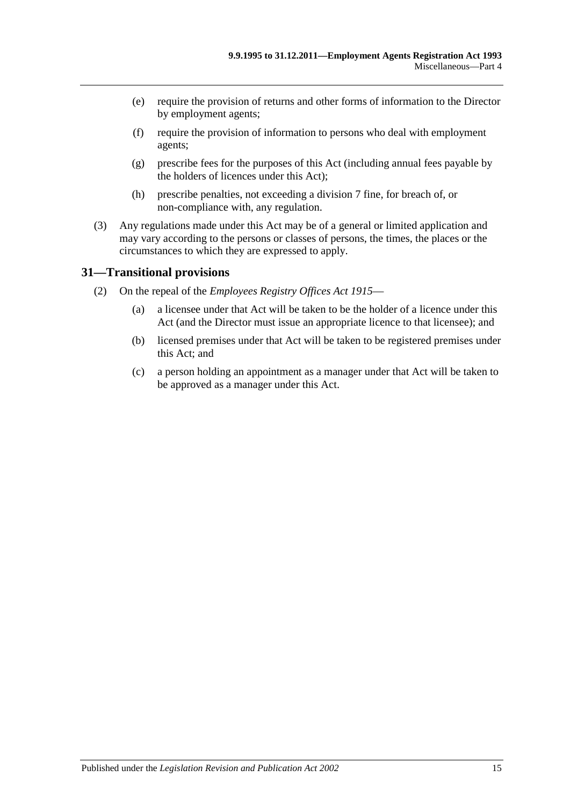- (e) require the provision of returns and other forms of information to the Director by employment agents;
- (f) require the provision of information to persons who deal with employment agents;
- (g) prescribe fees for the purposes of this Act (including annual fees payable by the holders of licences under this Act);
- (h) prescribe penalties, not exceeding a division 7 fine, for breach of, or non-compliance with, any regulation.
- (3) Any regulations made under this Act may be of a general or limited application and may vary according to the persons or classes of persons, the times, the places or the circumstances to which they are expressed to apply.

### <span id="page-14-0"></span>**31—Transitional provisions**

- (2) On the repeal of the *[Employees Registry Offices Act](http://www.legislation.sa.gov.au/index.aspx?action=legref&type=act&legtitle=Employees%20Registry%20Offices%20Act%201915) 1915*
	- (a) a licensee under that Act will be taken to be the holder of a licence under this Act (and the Director must issue an appropriate licence to that licensee); and
	- (b) licensed premises under that Act will be taken to be registered premises under this Act; and
	- (c) a person holding an appointment as a manager under that Act will be taken to be approved as a manager under this Act.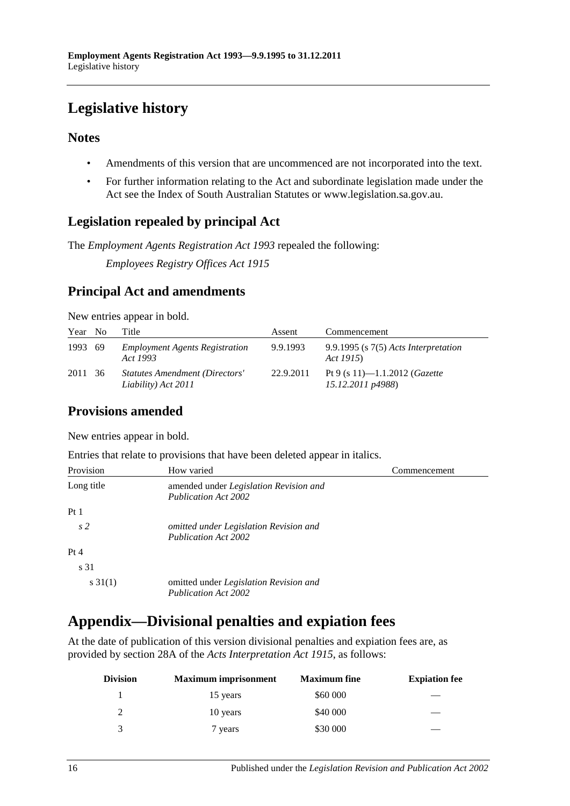## <span id="page-15-0"></span>**Legislative history**

## **Notes**

- Amendments of this version that are uncommenced are not incorporated into the text.
- For further information relating to the Act and subordinate legislation made under the Act see the Index of South Australian Statutes or www.legislation.sa.gov.au.

## **Legislation repealed by principal Act**

The *Employment Agents Registration Act 1993* repealed the following:

*Employees Registry Offices Act 1915*

## **Principal Act and amendments**

| New entries appear in bold. |  |                                                              |           |                                                            |  |  |  |
|-----------------------------|--|--------------------------------------------------------------|-----------|------------------------------------------------------------|--|--|--|
| Year No                     |  | Title                                                        | Assent    | Commencement                                               |  |  |  |
| 1993 69                     |  | <b>Employment Agents Registration</b><br>Act 1993            | 9.9.1993  | 9.9.1995 (s $7(5)$ Acts Interpretation<br>Act 1915)        |  |  |  |
| 2011 36                     |  | <b>Statutes Amendment (Directors'</b><br>Liability) Act 2011 | 22.9.2011 | Pt 9 (s 11)-1.1.2012 ( <i>Gazette</i><br>15.12.2011 p4988) |  |  |  |

## **Provisions amended**

New entries appear in bold.

Entries that relate to provisions that have been deleted appear in italics.

| Provision      | How varied                                                            | Commencement |
|----------------|-----------------------------------------------------------------------|--------------|
| Long title     | amended under Legislation Revision and<br><b>Publication Act 2002</b> |              |
| Pt1            |                                                                       |              |
| s <sub>2</sub> | omitted under Legislation Revision and<br><b>Publication Act 2002</b> |              |
| Pt 4           |                                                                       |              |
| s 31           |                                                                       |              |
| $s \, 31(1)$   | omitted under Legislation Revision and<br><b>Publication Act 2002</b> |              |

## <span id="page-15-1"></span>**Appendix—Divisional penalties and expiation fees**

At the date of publication of this version divisional penalties and expiation fees are, as provided by section 28A of the *[Acts Interpretation Act 1915](http://www.legislation.sa.gov.au/index.aspx?action=legref&type=act&legtitle=Acts%20Interpretation%20Act%201915)*, as follows:

| <b>Division</b> | <b>Maximum imprisonment</b> | <b>Maximum</b> fine | <b>Expiation fee</b> |
|-----------------|-----------------------------|---------------------|----------------------|
|                 | 15 years                    | \$60 000            |                      |
|                 | 10 years                    | \$40 000            |                      |
| 2               | 7 years                     | \$30 000            |                      |